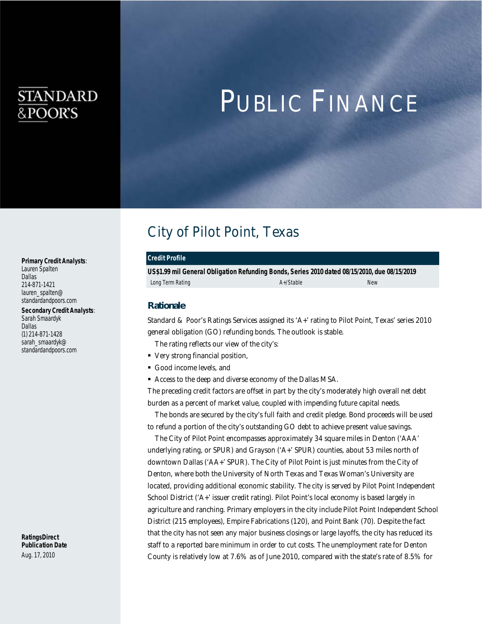## STANDARD &POOR'S

# PUBLIC FINANCE

### City of Pilot Point, Texas

#### *Credit Profile*

*US\$1.99 mil General Obligation Refunding Bonds, Series 2010 dated 08/15/2010, due 08/15/2019*  Long Term Rating New A+/Stable A+/Stable A+/Stable New

#### *Rationale*

Standard & Poor's Ratings Services assigned its 'A+' rating to Pilot Point, Texas' series 2010 general obligation (GO) refunding bonds. The outlook is stable.

The rating reflects our view of the city's:

- Very strong financial position,
- Good income levels, and
- Access to the deep and diverse economy of the Dallas MSA.

The preceding credit factors are offset in part by the city's moderately high overall net debt burden as a percent of market value, coupled with impending future capital needs.

The bonds are secured by the city's full faith and credit pledge. Bond proceeds will be used to refund a portion of the city's outstanding GO debt to achieve present value savings.

The City of Pilot Point encompasses approximately 34 square miles in Denton ('AAA' underlying rating, or SPUR) and Grayson ('A+' SPUR) counties, about 53 miles north of downtown Dallas ('AA+' SPUR). The City of Pilot Point is just minutes from the City of Denton, where both the University of North Texas and Texas Woman's University are located, providing additional economic stability. The city is served by Pilot Point Independent School District ('A+' issuer credit rating). Pilot Point's local economy is based largely in agriculture and ranching. Primary employers in the city include Pilot Point Independent School District (215 employees), Empire Fabrications (120), and Point Bank (70). Despite the fact that the city has not seen any major business closings or large layoffs, the city has reduced its staff to a reported bare minimum in order to cut costs. The unemployment rate for Denton County is relatively low at 7.6% as of June 2010, compared with the state's rate of 8.5% for

*Primary Credit Analysts*: Lauren Spalten Dallas 214-871-1421 lauren spalten@ standardandpoors.com

*Secondary Credit Analysts*: Sarah Smaardyk Dallas (1) 214-871-1428 sarah\_smaardyk@ standardandpoors.com

*RatingsDirect Publication Date*  Aug. 17, 2010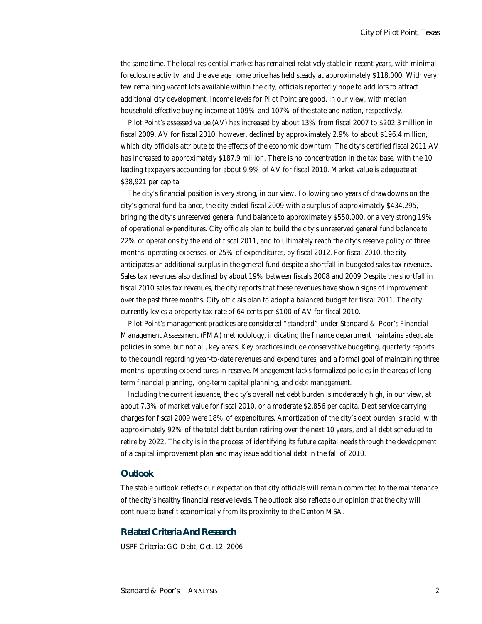the same time. The local residential market has remained relatively stable in recent years, with minimal foreclosure activity, and the average home price has held steady at approximately \$118,000. With very few remaining vacant lots available within the city, officials reportedly hope to add lots to attract additional city development. Income levels for Pilot Point are good, in our view, with median household effective buying income at 109% and 107% of the state and nation, respectively.

Pilot Point's assessed value (AV) has increased by about 13% from fiscal 2007 to \$202.3 million in fiscal 2009. AV for fiscal 2010, however, declined by approximately 2.9% to about \$196.4 million, which city officials attribute to the effects of the economic downturn. The city's certified fiscal 2011 AV has increased to approximately \$187.9 million. There is no concentration in the tax base, with the 10 leading taxpayers accounting for about 9.9% of AV for fiscal 2010. Market value is adequate at \$38,921 per capita.

The city's financial position is very strong, in our view. Following two years of drawdowns on the city's general fund balance, the city ended fiscal 2009 with a surplus of approximately \$434,295, bringing the city's unreserved general fund balance to approximately \$550,000, or a very strong 19% of operational expenditures. City officials plan to build the city's unreserved general fund balance to 22% of operations by the end of fiscal 2011, and to ultimately reach the city's reserve policy of three months' operating expenses, or 25% of expenditures, by fiscal 2012. For fiscal 2010, the city anticipates an additional surplus in the general fund despite a shortfall in budgeted sales tax revenues. Sales tax revenues also declined by about 19% between fiscals 2008 and 2009 Despite the shortfall in fiscal 2010 sales tax revenues, the city reports that these revenues have shown signs of improvement over the past three months. City officials plan to adopt a balanced budget for fiscal 2011. The city currently levies a property tax rate of 64 cents per \$100 of AV for fiscal 2010.

Pilot Point's management practices are considered "standard" under Standard & Poor's Financial Management Assessment (FMA) methodology, indicating the finance department maintains adequate policies in some, but not all, key areas. Key practices include conservative budgeting, quarterly reports to the council regarding year-to-date revenues and expenditures, and a formal goal of maintaining three months' operating expenditures in reserve. Management lacks formalized policies in the areas of longterm financial planning, long-term capital planning, and debt management.

Including the current issuance, the city's overall net debt burden is moderately high, in our view, at about 7.3% of market value for fiscal 2010, or a moderate \$2,856 per capita. Debt service carrying charges for fiscal 2009 were 18% of expenditures. Amortization of the city's debt burden is rapid, with approximately 92% of the total debt burden retiring over the next 10 years, and all debt scheduled to retire by 2022. The city is in the process of identifying its future capital needs through the development of a capital improvement plan and may issue additional debt in the fall of 2010.

#### *Outlook*

The stable outlook reflects our expectation that city officials will remain committed to the maintenance of the city's healthy financial reserve levels. The outlook also reflects our opinion that the city will continue to benefit economically from its proximity to the Denton MSA.

#### *Related Criteria And Research*

USPF Criteria: GO Debt, Oct. 12, 2006